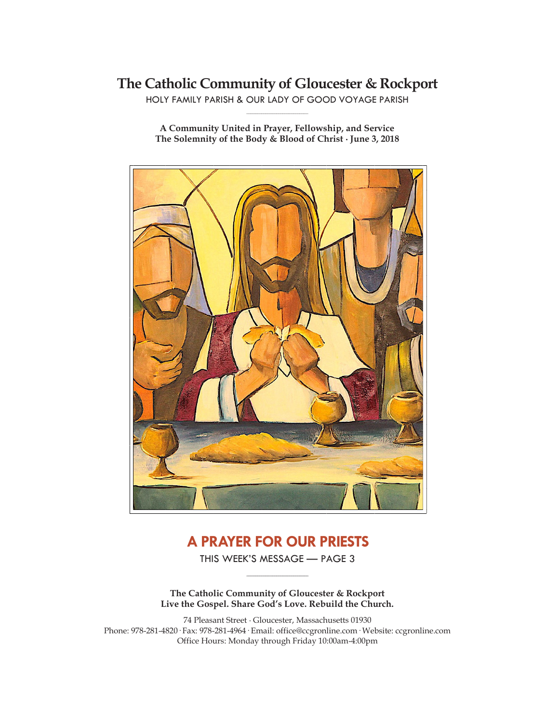# **The Catholic Community of Gloucester & Rockport**

HOLY FAMILY PARISH & OUR LADY OF GOOD VOYAGE PARISH **\_\_\_\_\_\_\_\_\_\_\_\_\_\_\_\_\_\_\_\_\_\_\_\_\_\_\_\_\_**

**A Community United in Prayer, Fellowship, and Service The Solemnity of the Body & Blood of Christ ∙ June 3, 2018**



# **A PRAYER FOR OUR PRIESTS**

THIS WEEK'S MESSAGE — PAGE 3 **\_\_\_\_\_\_\_\_\_\_\_\_\_\_\_\_\_\_\_\_\_\_\_\_\_\_\_\_\_**

**The Catholic Community of Gloucester & Rockport Live the Gospel. Share God's Love. Rebuild the Church.**

74 Pleasant Street ∙ Gloucester, Massachusetts 01930 Phone: 978-281-4820· Fax: 978-281-4964· Email: office@ccgronline.com· Website: ccgronline.com Office Hours: Monday through Friday 10:00am-4:00pm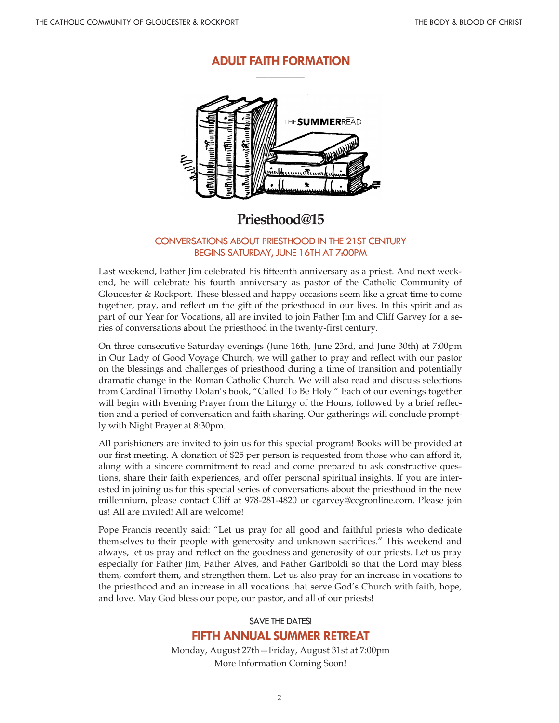# **ADULT FAITH FORMATION \_\_\_\_\_\_\_\_\_\_\_\_\_\_\_\_\_\_\_\_\_**



# **Priesthood@15**

### CONVERSATIONS ABOUT PRIESTHOOD IN THE 21ST CENTURY BEGINS SATURDAY, JUNE 16TH AT 7:00PM

Last weekend, Father Jim celebrated his fifteenth anniversary as a priest. And next weekend, he will celebrate his fourth anniversary as pastor of the Catholic Community of Gloucester & Rockport. These blessed and happy occasions seem like a great time to come together, pray, and reflect on the gift of the priesthood in our lives. In this spirit and as part of our Year for Vocations, all are invited to join Father Jim and Cliff Garvey for a series of conversations about the priesthood in the twenty-first century.

On three consecutive Saturday evenings (June 16th, June 23rd, and June 30th) at 7:00pm in Our Lady of Good Voyage Church, we will gather to pray and reflect with our pastor on the blessings and challenges of priesthood during a time of transition and potentially dramatic change in the Roman Catholic Church. We will also read and discuss selections from Cardinal Timothy Dolan's book, "Called To Be Holy." Each of our evenings together will begin with Evening Prayer from the Liturgy of the Hours, followed by a brief reflection and a period of conversation and faith sharing. Our gatherings will conclude promptly with Night Prayer at 8:30pm.

All parishioners are invited to join us for this special program! Books will be provided at our first meeting. A donation of \$25 per person is requested from those who can afford it, along with a sincere commitment to read and come prepared to ask constructive questions, share their faith experiences, and offer personal spiritual insights. If you are interested in joining us for this special series of conversations about the priesthood in the new millennium, please contact Cliff at 978-281-4820 or cgarvey@ccgronline.com. Please join us! All are invited! All are welcome!

Pope Francis recently said: "Let us pray for all good and faithful priests who dedicate themselves to their people with generosity and unknown sacrifices." This weekend and always, let us pray and reflect on the goodness and generosity of our priests. Let us pray especially for Father Jim, Father Alves, and Father Gariboldi so that the Lord may bless them, comfort them, and strengthen them. Let us also pray for an increase in vocations to the priesthood and an increase in all vocations that serve God's Church with faith, hope, and love. May God bless our pope, our pastor, and all of our priests!

# SAVE THE DATES! **FIFTH ANNUAL SUMMER RETREAT**

Monday, August 27th—Friday, August 31st at 7:00pm More Information Coming Soon!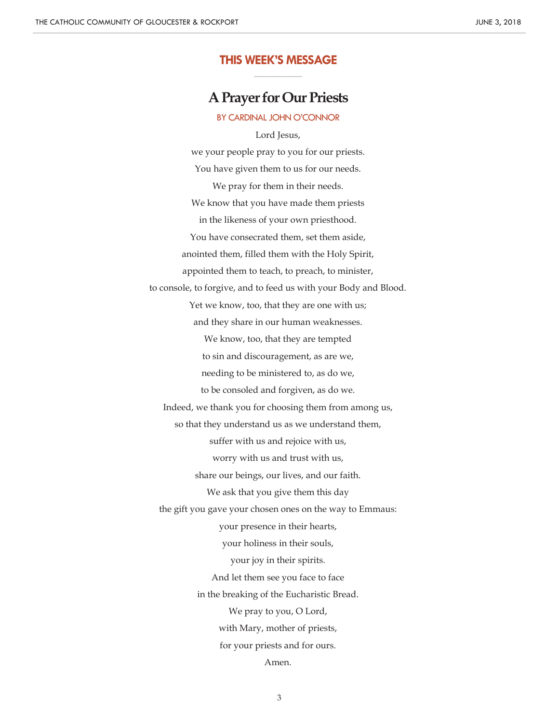# **THIS WEEK'S MESSAGE \_\_\_\_\_\_\_\_\_\_\_\_\_\_\_\_\_\_\_\_\_**

**A Prayer for Our Priests**

BY CARDINAL JOHN O'CONNOR

Lord Jesus, we your people pray to you for our priests. You have given them to us for our needs. We pray for them in their needs. We know that you have made them priests in the likeness of your own priesthood. You have consecrated them, set them aside, anointed them, filled them with the Holy Spirit, appointed them to teach, to preach, to minister, to console, to forgive, and to feed us with your Body and Blood. Yet we know, too, that they are one with us; and they share in our human weaknesses. We know, too, that they are tempted to sin and discouragement, as are we, needing to be ministered to, as do we, to be consoled and forgiven, as do we. Indeed, we thank you for choosing them from among us, so that they understand us as we understand them, suffer with us and rejoice with us, worry with us and trust with us, share our beings, our lives, and our faith. We ask that you give them this day the gift you gave your chosen ones on the way to Emmaus: your presence in their hearts, your holiness in their souls, your joy in their spirits. And let them see you face to face in the breaking of the Eucharistic Bread. We pray to you, O Lord, with Mary, mother of priests, for your priests and for ours. Amen.

3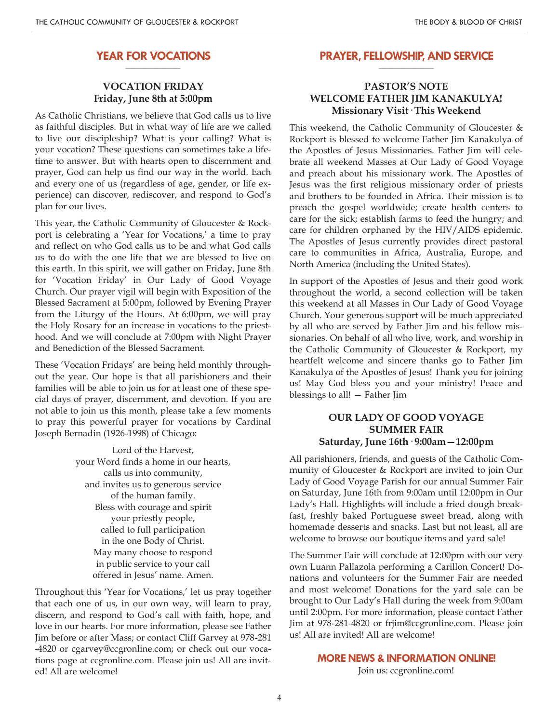#### **YEAR FOR VOCATIONS \_\_\_\_\_\_\_\_\_\_\_\_\_\_\_\_\_\_\_\_**

# **VOCATION FRIDAY Friday, June 8th at 5:00pm**

As Catholic Christians, we believe that God calls us to live as faithful disciples. But in what way of life are we called to live our discipleship? What is your calling? What is your vocation? These questions can sometimes take a lifetime to answer. But with hearts open to discernment and prayer, God can help us find our way in the world. Each and every one of us (regardless of age, gender, or life experience) can discover, rediscover, and respond to God's plan for our lives.

This year, the Catholic Community of Gloucester & Rockport is celebrating a 'Year for Vocations,' a time to pray and reflect on who God calls us to be and what God calls us to do with the one life that we are blessed to live on this earth. In this spirit, we will gather on Friday, June 8th for 'Vocation Friday' in Our Lady of Good Voyage Church. Our prayer vigil will begin with Exposition of the Blessed Sacrament at 5:00pm, followed by Evening Prayer from the Liturgy of the Hours. At 6:00pm, we will pray the Holy Rosary for an increase in vocations to the priesthood. And we will conclude at 7:00pm with Night Prayer and Benediction of the Blessed Sacrament.

These 'Vocation Fridays' are being held monthly throughout the year. Our hope is that all parishioners and their families will be able to join us for at least one of these special days of prayer, discernment, and devotion. If you are not able to join us this month, please take a few moments to pray this powerful prayer for vocations by Cardinal Joseph Bernadin (1926-1998) of Chicago:

> Lord of the Harvest, your Word finds a home in our hearts, calls us into community, and invites us to generous service of the human family. Bless with courage and spirit your priestly people, called to full participation in the one Body of Christ. May many choose to respond in public service to your call offered in Jesus' name. Amen.

Throughout this 'Year for Vocations,' let us pray together that each one of us, in our own way, will learn to pray, discern, and respond to God's call with faith, hope, and love in our hearts. For more information, please see Father Jim before or after Mass; or contact Cliff Garvey at 978-281 -4820 or cgarvey@ccgronline.com; or check out our vocations page at ccgronline.com. Please join us! All are invited! All are welcome!

#### **PRAYER, FELLOWSHIP, AND SERVICE \_\_\_\_\_\_\_\_\_\_\_\_\_\_\_\_\_\_\_\_**

# **PASTOR'S NOTE WELCOME FATHER JIM KANAKULYA! Missionary Visit· This Weekend**

This weekend, the Catholic Community of Gloucester & Rockport is blessed to welcome Father Jim Kanakulya of the Apostles of Jesus Missionaries. Father Jim will celebrate all weekend Masses at Our Lady of Good Voyage and preach about his missionary work. The Apostles of Jesus was the first religious missionary order of priests and brothers to be founded in Africa. Their mission is to preach the gospel worldwide; create health centers to care for the sick; establish farms to feed the hungry; and care for children orphaned by the HIV/AIDS epidemic. The Apostles of Jesus currently provides direct pastoral care to communities in Africa, Australia, Europe, and North America (including the United States).

In support of the Apostles of Jesus and their good work throughout the world, a second collection will be taken this weekend at all Masses in Our Lady of Good Voyage Church. Your generous support will be much appreciated by all who are served by Father Jim and his fellow missionaries. On behalf of all who live, work, and worship in the Catholic Community of Gloucester & Rockport, my heartfelt welcome and sincere thanks go to Father Jim Kanakulya of the Apostles of Jesus! Thank you for joining us! May God bless you and your ministry! Peace and blessings to all! — Father Jim

# **OUR LADY OF GOOD VOYAGE SUMMER FAIR Saturday, June 16th· 9:00am—12:00pm**

All parishioners, friends, and guests of the Catholic Community of Gloucester & Rockport are invited to join Our Lady of Good Voyage Parish for our annual Summer Fair on Saturday, June 16th from 9:00am until 12:00pm in Our Lady's Hall. Highlights will include a fried dough breakfast, freshly baked Portuguese sweet bread, along with homemade desserts and snacks. Last but not least, all are welcome to browse our boutique items and yard sale!

The Summer Fair will conclude at 12:00pm with our very own Luann Pallazola performing a Carillon Concert! Donations and volunteers for the Summer Fair are needed and most welcome! Donations for the yard sale can be brought to Our Lady's Hall during the week from 9:00am until 2:00pm. For more information, please contact Father Jim at 978-281-4820 or frjim@ccgronline.com. Please join us! All are invited! All are welcome!

# **MORE NEWS & INFORMATION ONLINE!**

Join us: ccgronline.com!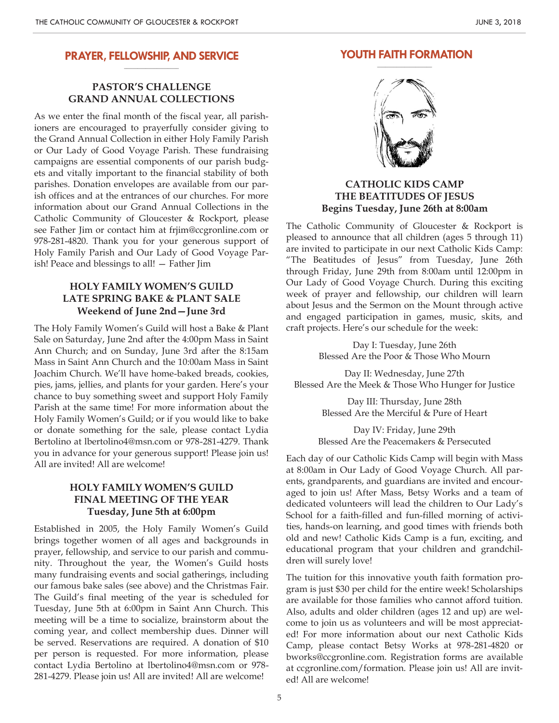#### **PRAYER, FELLOWSHIP, AND SERVICE \_\_\_\_\_\_\_\_\_\_\_\_\_\_\_\_\_\_\_\_**

# **PASTOR'S CHALLENGE GRAND ANNUAL COLLECTIONS**

As we enter the final month of the fiscal year, all parishioners are encouraged to prayerfully consider giving to the Grand Annual Collection in either Holy Family Parish or Our Lady of Good Voyage Parish. These fundraising campaigns are essential components of our parish budgets and vitally important to the financial stability of both parishes. Donation envelopes are available from our parish offices and at the entrances of our churches. For more information about our Grand Annual Collections in the Catholic Community of Gloucester & Rockport, please see Father Jim or contact him at frjim@ccgronline.com or 978-281-4820. Thank you for your generous support of Holy Family Parish and Our Lady of Good Voyage Parish! Peace and blessings to all! — Father Jim

## **HOLY FAMILY WOMEN'S GUILD LATE SPRING BAKE & PLANT SALE Weekend of June 2nd—June 3rd**

The Holy Family Women's Guild will host a Bake & Plant Sale on Saturday, June 2nd after the 4:00pm Mass in Saint Ann Church; and on Sunday, June 3rd after the 8:15am Mass in Saint Ann Church and the 10:00am Mass in Saint Joachim Church. We'll have home-baked breads, cookies, pies, jams, jellies, and plants for your garden. Here's your chance to buy something sweet and support Holy Family Parish at the same time! For more information about the Holy Family Women's Guild; or if you would like to bake or donate something for the sale, please contact Lydia Bertolino at lbertolino4@msn.com or 978-281-4279. Thank you in advance for your generous support! Please join us! All are invited! All are welcome!

# **HOLY FAMILY WOMEN'S GUILD FINAL MEETING OF THE YEAR Tuesday, June 5th at 6:00pm**

Established in 2005, the Holy Family Women's Guild brings together women of all ages and backgrounds in prayer, fellowship, and service to our parish and community. Throughout the year, the Women's Guild hosts many fundraising events and social gatherings, including our famous bake sales (see above) and the Christmas Fair. The Guild's final meeting of the year is scheduled for Tuesday, June 5th at 6:00pm in Saint Ann Church. This meeting will be a time to socialize, brainstorm about the coming year, and collect membership dues. Dinner will be served. Reservations are required. A donation of \$10 per person is requested. For more information, please contact Lydia Bertolino at lbertolino4@msn.com or 978- 281-4279. Please join us! All are invited! All are welcome!



**YOUTH FAITH FORMATION \_\_\_\_\_\_\_\_\_\_\_\_\_\_\_\_\_\_\_\_**

# **CATHOLIC KIDS CAMP THE BEATITUDES OF JESUS Begins Tuesday, June 26th at 8:00am**

The Catholic Community of Gloucester & Rockport is pleased to announce that all children (ages 5 through 11) are invited to participate in our next Catholic Kids Camp: "The Beatitudes of Jesus" from Tuesday, June 26th through Friday, June 29th from 8:00am until 12:00pm in Our Lady of Good Voyage Church. During this exciting week of prayer and fellowship, our children will learn about Jesus and the Sermon on the Mount through active and engaged participation in games, music, skits, and craft projects. Here's our schedule for the week:

> Day I: Tuesday, June 26th Blessed Are the Poor & Those Who Mourn

Day II: Wednesday, June 27th Blessed Are the Meek & Those Who Hunger for Justice

> Day III: Thursday, June 28th Blessed Are the Merciful & Pure of Heart

Day IV: Friday, June 29th Blessed Are the Peacemakers & Persecuted

Each day of our Catholic Kids Camp will begin with Mass at 8:00am in Our Lady of Good Voyage Church. All parents, grandparents, and guardians are invited and encouraged to join us! After Mass, Betsy Works and a team of dedicated volunteers will lead the children to Our Lady's School for a faith-filled and fun-filled morning of activities, hands-on learning, and good times with friends both old and new! Catholic Kids Camp is a fun, exciting, and educational program that your children and grandchildren will surely love!

The tuition for this innovative youth faith formation program is just \$30 per child for the entire week! Scholarships are available for those families who cannot afford tuition. Also, adults and older children (ages 12 and up) are welcome to join us as volunteers and will be most appreciated! For more information about our next Catholic Kids Camp, please contact Betsy Works at 978-281-4820 or bworks@ccgronline.com. Registration forms are available at ccgronline.com/formation. Please join us! All are invited! All are welcome!